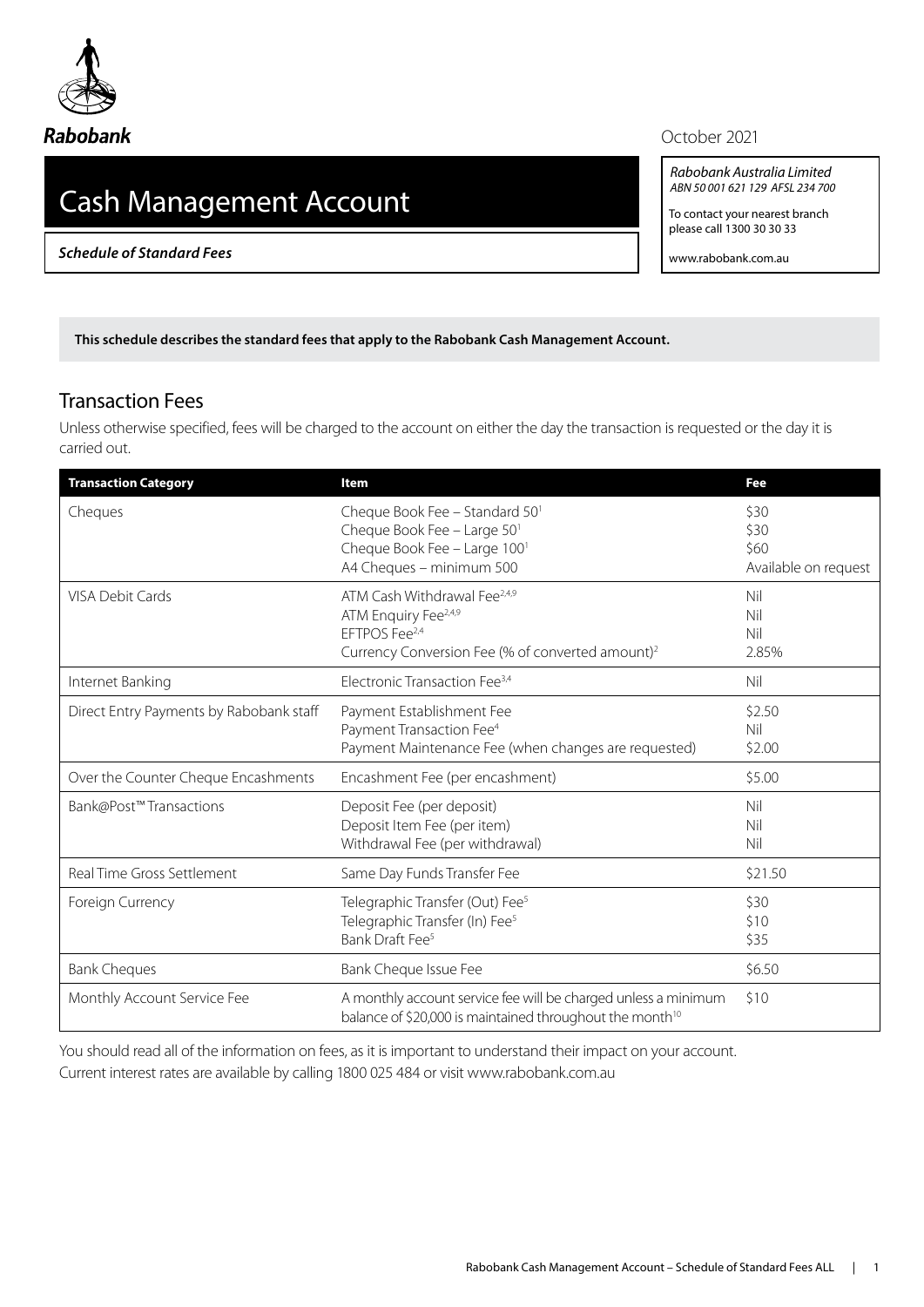

## **Rabobank**

# Cash Management Account

*Schedule of Standard Fees*

#### October 2021

*Rabobank Australia Limited ABN 50 001 621 129 AFSL 234 700*

To contact your nearest branch please call 1300 30 30 33

www.rabobank.com.au

**This schedule describes the standard fees that apply to the Rabobank Cash Management Account.** 

### Transaction Fees

Unless otherwise specified, fees will be charged to the account on either the day the transaction is requested or the day it is carried out.

| <b>Transaction Category</b>             | Item                                                                                                                                                                      | Fee                                          |
|-----------------------------------------|---------------------------------------------------------------------------------------------------------------------------------------------------------------------------|----------------------------------------------|
| Cheques                                 | Cheque Book Fee - Standard 50 <sup>1</sup><br>Cheque Book Fee - Large 50 <sup>1</sup><br>Cheque Book Fee - Large 100 <sup>1</sup><br>A4 Cheques - minimum 500             | \$30<br>\$30<br>\$60<br>Available on request |
| <b>VISA Debit Cards</b>                 | ATM Cash Withdrawal Fee <sup>2,4,9</sup><br>ATM Enquiry Fee <sup>2,4,9</sup><br>EFTPOS Fee <sup>2,4</sup><br>Currency Conversion Fee (% of converted amount) <sup>2</sup> | Nil<br>Nil<br>Nil<br>2.85%                   |
| Internet Banking                        | Electronic Transaction Fee <sup>3,4</sup>                                                                                                                                 | Nil                                          |
| Direct Entry Payments by Rabobank staff | Payment Establishment Fee<br>Payment Transaction Fee <sup>4</sup><br>Payment Maintenance Fee (when changes are requested)                                                 | \$2.50<br>Nil<br>\$2.00                      |
| Over the Counter Cheque Encashments     | Encashment Fee (per encashment)                                                                                                                                           | \$5.00                                       |
| Bank@Post™Transactions                  | Deposit Fee (per deposit)<br>Deposit Item Fee (per item)<br>Withdrawal Fee (per withdrawal)                                                                               | Nil<br>Nil<br>Nil                            |
| Real Time Gross Settlement              | Same Day Funds Transfer Fee                                                                                                                                               | \$21.50                                      |
| Foreign Currency                        | Telegraphic Transfer (Out) Fee <sup>5</sup><br>Telegraphic Transfer (In) Fee <sup>5</sup><br>Bank Draft Fee <sup>5</sup>                                                  | \$30<br>\$10<br>\$35                         |
| <b>Bank Cheques</b>                     | Bank Cheque Issue Fee                                                                                                                                                     | \$6.50                                       |
| Monthly Account Service Fee             | A monthly account service fee will be charged unless a minimum<br>balance of \$20,000 is maintained throughout the month <sup>10</sup>                                    | \$10                                         |

You should read all of the information on fees, as it is important to understand their impact on your account.

Current interest rates are available by calling 1800 025 484 or visit [www.rabobank.com.au](http://www.rabobank.com.au)